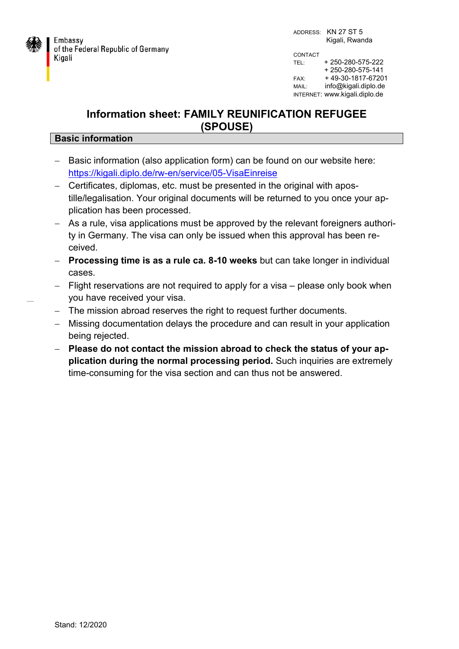

INTERNET: www.kigali.diplo.de

## **Information sheet: FAMILY REUNIFICATION REFUGEE (SPOUSE)**

## **Basic information**

- Basic information (also application form) can be found on our website here: <https://kigali.diplo.de/rw-en/service/05-VisaEinreise>
- Certificates, diplomas, etc. must be presented in the original with apostille/legalisation. Your original documents will be returned to you once your application has been processed.
- As a rule, visa applications must be approved by the relevant foreigners authority in Germany. The visa can only be issued when this approval has been received.
- **Processing time is as a rule ca. 8-10 weeks** but can take longer in individual cases.
- Flight reservations are not required to apply for a visa please only book when you have received your visa.
- The mission abroad reserves the right to request further documents.
- Missing documentation delays the procedure and can result in your application being rejected.
- **Please do not contact the mission abroad to check the status of your application during the normal processing period.** Such inquiries are extremely time-consuming for the visa section and can thus not be answered.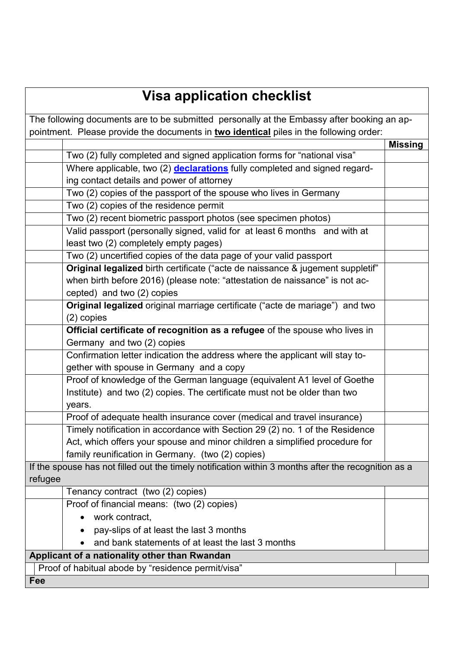## **Visa application checklist**

| The following documents are to be submitted personally at the Embassy after booking an ap-          |                |
|-----------------------------------------------------------------------------------------------------|----------------|
| pointment. Please provide the documents in two identical piles in the following order:              |                |
|                                                                                                     | <b>Missing</b> |
| Two (2) fully completed and signed application forms for "national visa"                            |                |
| Where applicable, two (2) <b>declarations</b> fully completed and signed regard-                    |                |
| ing contact details and power of attorney                                                           |                |
| Two (2) copies of the passport of the spouse who lives in Germany                                   |                |
| Two (2) copies of the residence permit                                                              |                |
| Two (2) recent biometric passport photos (see specimen photos)                                      |                |
| Valid passport (personally signed, valid for at least 6 months and with at                          |                |
| least two (2) completely empty pages)                                                               |                |
| Two (2) uncertified copies of the data page of your valid passport                                  |                |
| Original legalized birth certificate ("acte de naissance & jugement suppletif"                      |                |
| when birth before 2016) (please note: "attestation de naissance" is not ac-                         |                |
| cepted) and two (2) copies                                                                          |                |
| Original legalized original marriage certificate ("acte de mariage") and two                        |                |
| $(2)$ copies                                                                                        |                |
| Official certificate of recognition as a refugee of the spouse who lives in                         |                |
| Germany and two (2) copies                                                                          |                |
| Confirmation letter indication the address where the applicant will stay to-                        |                |
| gether with spouse in Germany and a copy                                                            |                |
| Proof of knowledge of the German language (equivalent A1 level of Goethe                            |                |
| Institute) and two (2) copies. The certificate must not be older than two                           |                |
| years.                                                                                              |                |
| Proof of adequate health insurance cover (medical and travel insurance)                             |                |
| Timely notification in accordance with Section 29 (2) no. 1 of the Residence                        |                |
| Act, which offers your spouse and minor children a simplified procedure for                         |                |
| family reunification in Germany. (two (2) copies)                                                   |                |
| If the spouse has not filled out the timely notification within 3 months after the recognition as a |                |
| refugee                                                                                             |                |
| Tenancy contract (two (2) copies)                                                                   |                |
| Proof of financial means: (two (2) copies)                                                          |                |
| work contract.                                                                                      |                |
| pay-slips of at least the last 3 months                                                             |                |
| and bank statements of at least the last 3 months                                                   |                |
| Applicant of a nationality other than Rwandan                                                       |                |
| Proof of habitual abode by "residence permit/visa"                                                  |                |
| Fee                                                                                                 |                |